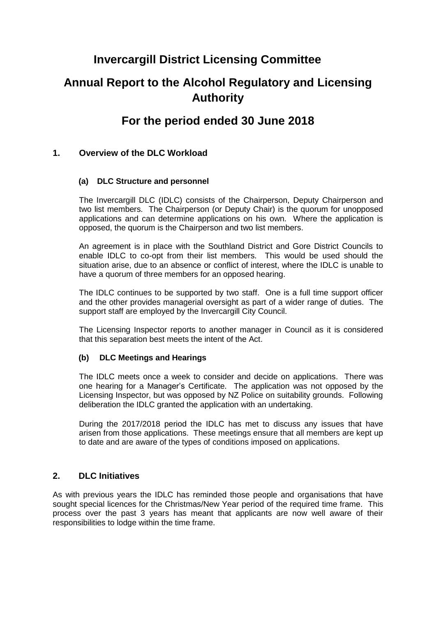### **Invercargill District Licensing Committee**

### **Annual Report to the Alcohol Regulatory and Licensing Authority**

### **For the period ended 30 June 2018**

#### **1. Overview of the DLC Workload**

#### **(a) DLC Structure and personnel**

The Invercargill DLC (IDLC) consists of the Chairperson, Deputy Chairperson and two list members. The Chairperson (or Deputy Chair) is the quorum for unopposed applications and can determine applications on his own. Where the application is opposed, the quorum is the Chairperson and two list members.

An agreement is in place with the Southland District and Gore District Councils to enable IDLC to co-opt from their list members. This would be used should the situation arise, due to an absence or conflict of interest, where the IDLC is unable to have a quorum of three members for an opposed hearing.

The IDLC continues to be supported by two staff. One is a full time support officer and the other provides managerial oversight as part of a wider range of duties. The support staff are employed by the Invercargill City Council.

The Licensing Inspector reports to another manager in Council as it is considered that this separation best meets the intent of the Act.

#### **(b) DLC Meetings and Hearings**

The IDLC meets once a week to consider and decide on applications. There was one hearing for a Manager's Certificate. The application was not opposed by the Licensing Inspector, but was opposed by NZ Police on suitability grounds. Following deliberation the IDLC granted the application with an undertaking.

During the 2017/2018 period the IDLC has met to discuss any issues that have arisen from those applications. These meetings ensure that all members are kept up to date and are aware of the types of conditions imposed on applications.

#### **2. DLC Initiatives**

As with previous years the IDLC has reminded those people and organisations that have sought special licences for the Christmas/New Year period of the required time frame. This process over the past 3 years has meant that applicants are now well aware of their responsibilities to lodge within the time frame.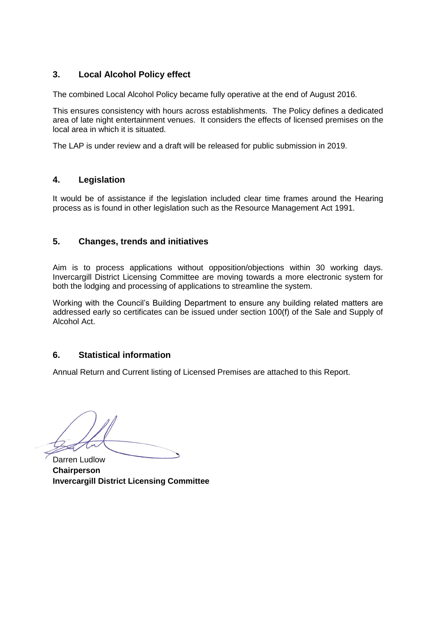#### **3. Local Alcohol Policy effect**

The combined Local Alcohol Policy became fully operative at the end of August 2016.

This ensures consistency with hours across establishments. The Policy defines a dedicated area of late night entertainment venues. It considers the effects of licensed premises on the local area in which it is situated.

The LAP is under review and a draft will be released for public submission in 2019.

#### **4. Legislation**

It would be of assistance if the legislation included clear time frames around the Hearing process as is found in other legislation such as the Resource Management Act 1991.

#### **5. Changes, trends and initiatives**

Aim is to process applications without opposition/objections within 30 working days. Invercargill District Licensing Committee are moving towards a more electronic system for both the lodging and processing of applications to streamline the system.

Working with the Council's Building Department to ensure any building related matters are addressed early so certificates can be issued under section 100(f) of the Sale and Supply of Alcohol Act.

#### **6. Statistical information**

Annual Return and Current listing of Licensed Premises are attached to this Report.

Darren Ludlow **Chairperson Invercargill District Licensing Committee**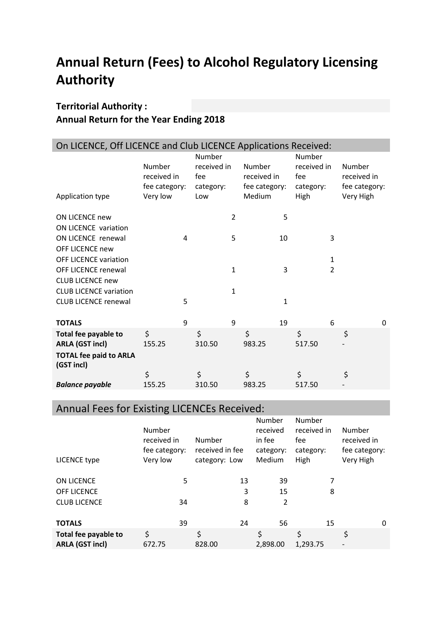# **Annual Return (Fees) to Alcohol Regulatory Licensing Authority**

### **Territorial Authority : Annual Return for the Year Ending 2018**

| On LICENCE, Off LICENCE and Club LICENCE Applications Received:      |                                                    |   |                                                  |                |                                                  |    |                                                   |              |                                                     |          |
|----------------------------------------------------------------------|----------------------------------------------------|---|--------------------------------------------------|----------------|--------------------------------------------------|----|---------------------------------------------------|--------------|-----------------------------------------------------|----------|
| Application type                                                     | Number<br>received in<br>fee category:<br>Very low |   | Number<br>received in<br>fee<br>category:<br>Low |                | Number<br>received in<br>fee category:<br>Medium |    | Number<br>received in<br>fee<br>category:<br>High |              | Number<br>received in<br>fee category:<br>Very High |          |
| <b>ON LICENCE new</b>                                                |                                                    |   |                                                  | $\overline{2}$ |                                                  | 5  |                                                   |              |                                                     |          |
| ON LICENCE variation<br>ON LICENCE renewal<br><b>OFF LICENCE new</b> |                                                    | 4 |                                                  | 5              |                                                  | 10 |                                                   | 3            |                                                     |          |
| <b>OFF LICENCE variation</b>                                         |                                                    |   |                                                  |                |                                                  |    |                                                   | $\mathbf{1}$ |                                                     |          |
| <b>OFF LICENCE renewal</b>                                           |                                                    |   |                                                  | 1              |                                                  | 3  |                                                   | 2            |                                                     |          |
| <b>CLUB LICENCE new</b><br><b>CLUB LICENCE variation</b>             |                                                    |   |                                                  | 1              |                                                  |    |                                                   |              |                                                     |          |
| <b>CLUB LICENCE renewal</b>                                          |                                                    | 5 |                                                  |                |                                                  | 1  |                                                   |              |                                                     |          |
| <b>TOTALS</b>                                                        |                                                    | 9 |                                                  | 9              |                                                  | 19 |                                                   | 6            |                                                     | $\Omega$ |
| Total fee payable to<br><b>ARLA (GST incl)</b>                       | \$<br>155.25                                       |   | \$<br>310.50                                     |                | \$<br>983.25                                     |    | \$<br>517.50                                      |              | \$                                                  |          |
| <b>TOTAL fee paid to ARLA</b><br>(GST incl)                          |                                                    |   |                                                  |                |                                                  |    |                                                   |              |                                                     |          |
|                                                                      | \$                                                 |   | \$                                               |                | \$                                               |    | \$                                                |              | \$                                                  |          |
| <b>Balance payable</b>                                               | 155.25                                             |   | 310.50                                           |                | 983.25                                           |    | 517.50                                            |              |                                                     |          |

### Annual Fees for Existing LICENCEs Received:

| LICENCE type                                   | Number<br>received in<br>fee category:<br>Very low | Number<br>received in fee<br>category: Low | Number<br>received<br>in fee<br>category:<br>Medium | Number<br>received in<br>fee<br>category:<br>High | Number<br>received in<br>fee category:<br>Very High |
|------------------------------------------------|----------------------------------------------------|--------------------------------------------|-----------------------------------------------------|---------------------------------------------------|-----------------------------------------------------|
| ON LICENCE                                     | 5                                                  | 13                                         | 39                                                  | 7                                                 |                                                     |
| <b>OFF LICENCE</b>                             |                                                    | 3                                          | 15                                                  | 8                                                 |                                                     |
| <b>CLUB LICENCE</b>                            | 34                                                 | 8                                          | 2                                                   |                                                   |                                                     |
| <b>TOTALS</b>                                  | 39                                                 | 24                                         | 56                                                  | 15                                                | 0                                                   |
| Total fee payable to<br><b>ARLA (GST incl)</b> | \$<br>672.75                                       | \$<br>828.00                               | \$<br>2,898.00                                      | \$<br>1,293.75                                    | \$                                                  |